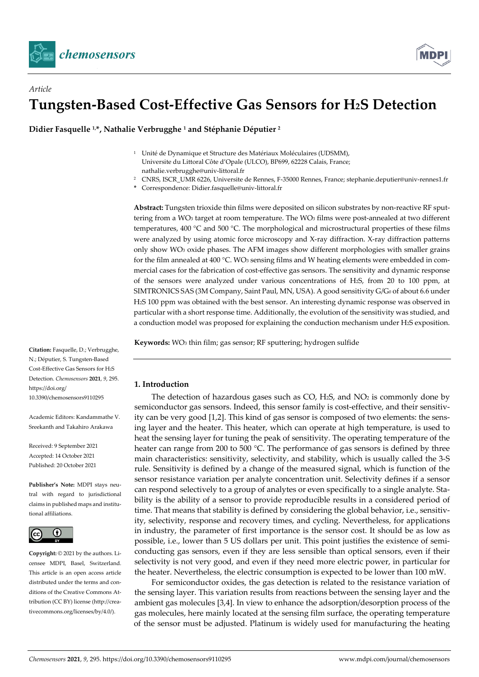

*Article*



# **Tungsten-Based Cost-Effective Gas Sensors for H2S Detection**

**Didier Fasquelle 1, \*, Nathalie Verbrugghe <sup>1</sup> and Stéphanie Députier <sup>2</sup>**

- <sup>1</sup> Unité de Dynamique et Structure des Matériaux Moléculaires (UDSMM), Universite du Littoral Côte d'Opale (ULCO), BP699, 62228 Calais, France; [nathalie.verbrugghe@univ-littoral.fr](mailto:nathalie.verbrugghe@univ-littoral.fr)
- <sup>2</sup> CNRS, ISCR\_UMR 6226, Universite de Rennes, F-35000 Rennes, France; stephanie.deputier@univ-rennes1.fr
- **\*** Correspondence: Didier.fasquelle@univ-littoral.fr

**Abstract:** Tungsten trioxide thin films were deposited on silicon substrates by non-reactive RF sputtering from a WO<sub>3</sub> target at room temperature. The WO<sub>3</sub> films were post-annealed at two different temperatures, 400 °C and 500 °C. The morphological and microstructural properties of these films were analyzed by using atomic force microscopy and X-ray diffraction. X-ray diffraction patterns only show WO3 oxide phases. The AFM images show different morphologies with smaller grains for the film annealed at  $400 °C$ . WO<sub>3</sub> sensing films and W heating elements were embedded in commercial cases for the fabrication of cost-effective gas sensors. The sensitivity and dynamic response of the sensors were analyzed under various concentrations of H2S, from 20 to 100 ppm, at SIMTRONICS SAS (3M Company, Saint Paul, MN, USA). A good sensitivity G/G0 of about 6.6 under H2S 100 ppm was obtained with the best sensor. An interesting dynamic response was observed in particular with a short response time. Additionally, the evolution of the sensitivity was studied, and a conduction model was proposed for explaining the conduction mechanism under H2S exposition.

**Keywords:** WO3 thin film; gas sensor; RF sputtering; hydrogen sulfide

# **1. Introduction**

The detection of hazardous gases such as  $CO$ , H<sub>2</sub>S, and  $NO<sub>2</sub>$  is commonly done by semiconductor gas sensors. Indeed, this sensor family is cost-effective, and their sensitivity can be very good [1,2]. This kind of gas sensor is composed of two elements: the sensing layer and the heater. This heater, which can operate at high temperature, is used to heat the sensing layer for tuning the peak of sensitivity. The operating temperature of the heater can range from 200 to 500 °C. The performance of gas sensors is defined by three main characteristics: sensitivity, selectivity, and stability, which is usually called the 3-S rule. Sensitivity is defined by a change of the measured signal, which is function of the sensor resistance variation per analyte concentration unit. Selectivity defines if a sensor can respond selectively to a group of analytes or even specifically to a single analyte. Stability is the ability of a sensor to provide reproducible results in a considered period of time. That means that stability is defined by considering the global behavior, i.e., sensitivity, selectivity, response and recovery times, and cycling. Nevertheless, for applications in industry, the parameter of first importance is the sensor cost. It should be as low as possible, i.e., lower than 5 US dollars per unit. This point justifies the existence of semiconducting gas sensors, even if they are less sensible than optical sensors, even if their selectivity is not very good, and even if they need more electric power, in particular for the heater. Nevertheless, the electric consumption is expected to be lower than 100 mW.

For semiconductor oxides, the gas detection is related to the resistance variation of the sensing layer. This variation results from reactions between the sensing layer and the ambient gas molecules [3,4]. In view to enhance the adsorption/desorption process of the gas molecules, here mainly located at the sensing film surface, the operating temperature of the sensor must be adjusted. Platinum is widely used for manufacturing the heating

**Citation:** Fasquelle, D.; Verbrugghe, N.; Députier, S. Tungsten-Based Cost-Effective Gas Sensors for H2S Detection. *Chemosensors* **2021**, *9*, 295. https://doi.org/ 10.3390/chemosensors9110295

Academic Editors: Kandammathe V. Sreekanth and Takahiro Arakawa

Received: 9 September 2021 Accepted: 14 October 2021 Published: 20 October 2021

**Publisher's Note:** MDPI stays neutral with regard to jurisdictional claims in published maps and institutional affiliations.



**Copyright:** © 2021 by the authors. Licensee MDPI, Basel, Switzerland. This article is an open access article distributed under the terms and conditions of the Creative Commons Attribution (CC BY) license (http://creativecommons.org/licenses/by/4.0/).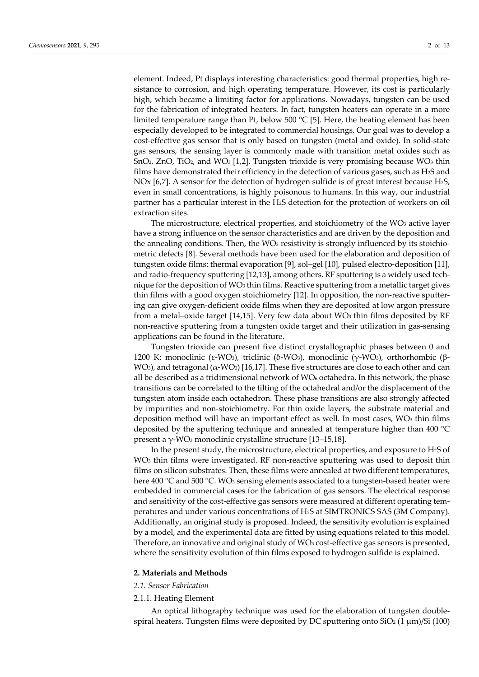element. Indeed, Pt displays interesting characteristics: good thermal properties, high resistance to corrosion, and high operating temperature. However, its cost is particularly high, which became a limiting factor for applications. Nowadays, tungsten can be used for the fabrication of integrated heaters. In fact, tungsten heaters can operate in a more limited temperature range than Pt, below 500 °C [5]. Here, the heating element has been especially developed to be integrated to commercial housings. Our goal was to develop a cost-effective gas sensor that is only based on tungsten (metal and oxide). In solid-state gas sensors, the sensing layer is commonly made with transition metal oxides such as SnO2, ZnO, TiO2, and WO3 [1,2]. Tungsten trioxide is very promising because WO3 thin films have demonstrated their efficiency in the detection of various gases, such as H2S and NOx [6,7]. A sensor for the detection of hydrogen sulfide is of great interest because H2S, even in small concentrations, is highly poisonous to humans. In this way, our industrial partner has a particular interest in the H2S detection for the protection of workers on oil extraction sites.

The microstructure, electrical properties, and stoichiometry of the WO<sub>3</sub> active layer have a strong influence on the sensor characteristics and are driven by the deposition and the annealing conditions. Then, the WO<sub>3</sub> resistivity is strongly influenced by its stoichiometric defects [8]. Several methods have been used for the elaboration and deposition of tungsten oxide films: thermal evaporation [9], sol–gel [10], pulsed electro-deposition [11], and radio-frequency sputtering [12,13], among others. RF sputtering is a widely used technique for the deposition of WO3 thin films. Reactive sputtering from a metallic target gives thin films with a good oxygen stoichiometry [12]. In opposition, the non-reactive sputtering can give oxygen-deficient oxide films when they are deposited at low argon pressure from a metal–oxide target [14,15]. Very few data about  $WO<sub>3</sub>$  thin films deposited by RF non-reactive sputtering from a tungsten oxide target and their utilization in gas-sensing applications can be found in the literature.

Tungsten trioxide can present five distinct crystallographic phases between 0 and 1200 K: monoclinic (ε-WO<sub>3</sub>), triclinic (δ-WO<sub>3</sub>), monoclinic (γ-WO<sub>3</sub>), orthorhombic (β-WO<sub>3</sub>), and tetragonal ( $\alpha$ -WO<sub>3</sub>) [16,17]. These five structures are close to each other and can all be described as a tridimensional network of  $WO_6$  octahedra. In this network, the phase transitions can be correlated to the tilting of the octahedral and/or the displacement of the tungsten atom inside each octahedron. These phase transitions are also strongly affected by impurities and non-stoichiometry. For thin oxide layers, the substrate material and deposition method will have an important effect as well. In most cases,  $WO<sub>3</sub>$  thin films deposited by the sputtering technique and annealed at temperature higher than 400 °C present a γ-WO<sub>3</sub> monoclinic crystalline structure [13–15,18].

In the present study, the microstructure, electrical properties, and exposure to H2S of WO3 thin films were investigated. RF non-reactive sputtering was used to deposit thin films on silicon substrates. Then, these films were annealed at two different temperatures, here 400 °C and 500 °C. WO<sub>3</sub> sensing elements associated to a tungsten-based heater were embedded in commercial cases for the fabrication of gas sensors. The electrical response and sensitivity of the cost-effective gas sensors were measured at different operating temperatures and under various concentrations of H2S at SIMTRONICS SAS (3M Company). Additionally, an original study is proposed. Indeed, the sensitivity evolution is explained by a model, and the experimental data are fitted by using equations related to this model. Therefore, an innovative and original study of WO<sub>3</sub> cost-effective gas sensors is presented, where the sensitivity evolution of thin films exposed to hydrogen sulfide is explained.

#### **2. Materials and Methods**

# *2.1. Sensor Fabrication*

#### 2.1.1. Heating Element

An optical lithography technique was used for the elaboration of tungsten doublespiral heaters. Tungsten films were deposited by DC sputtering onto  $SiO<sub>2</sub> (1 \mu m)/Si (100)$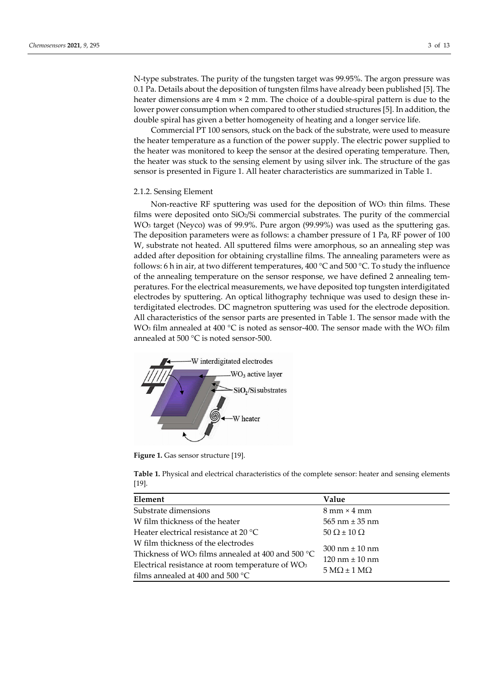N-type substrates. The purity of the tungsten target was 99.95%. The argon pressure was 0.1 Pa. Details about the deposition of tungsten films have already been published [5]. The heater dimensions are 4 mm × 2 mm. The choice of a double-spiral pattern is due to the lower power consumption when compared to other studied structures [5]. In addition, the double spiral has given a better homogeneity of heating and a longer service life.

Commercial PT 100 sensors, stuck on the back of the substrate, were used to measure the heater temperature as a function of the power supply. The electric power supplied to the heater was monitored to keep the sensor at the desired operating temperature. Then, the heater was stuck to the sensing element by using silver ink. The structure of the gas sensor is presented in Figure 1. All heater characteristics are summarized in Table 1.

#### 2.1.2. Sensing Element

Non-reactive RF sputtering was used for the deposition of  $WO<sub>3</sub>$  thin films. These films were deposited onto SiO2/Si commercial substrates. The purity of the commercial WO3 target (Neyco) was of 99.9%. Pure argon (99.99%) was used as the sputtering gas. The deposition parameters were as follows: a chamber pressure of 1 Pa, RF power of 100 W, substrate not heated. All sputtered films were amorphous, so an annealing step was added after deposition for obtaining crystalline films. The annealing parameters were as follows: 6 h in air, at two different temperatures, 400  $^{\circ}$ C and 500  $^{\circ}$ C. To study the influence of the annealing temperature on the sensor response, we have defined 2 annealing temperatures. For the electrical measurements, we have deposited top tungsten interdigitated electrodes by sputtering. An optical lithography technique was used to design these interdigitated electrodes. DC magnetron sputtering was used for the electrode deposition. All characteristics of the sensor parts are presented in Table 1. The sensor made with the WO<sub>3</sub> film annealed at 400 °C is noted as sensor-400. The sensor made with the WO<sub>3</sub> film annealed at 500 °C is noted sensor-500.



Figure 1. Gas sensor structure [19].

**Table 1.** Physical and electrical characteristics of the complete sensor: heater and sensing elements [19].

| Element                                                       | Value                                     |  |
|---------------------------------------------------------------|-------------------------------------------|--|
| Substrate dimensions                                          | $8 \text{ mm} \times 4 \text{ mm}$        |  |
| W film thickness of the heater                                | $565$ nm $\pm 35$ nm                      |  |
| Heater electrical resistance at 20 °C                         | $50 \Omega \pm 10 \Omega$                 |  |
| W film thickness of the electrodes                            | $300 \text{ nm} \pm 10 \text{ nm}$        |  |
| Thickness of WO <sub>3</sub> films annealed at 400 and 500 °C | $120 \text{ nm} \pm 10 \text{ nm}$        |  |
| Electrical resistance at room temperature of WO <sub>3</sub>  | $5 \text{ M}\Omega \pm 1 \text{ M}\Omega$ |  |
| films annealed at 400 and 500 $^{\circ}$ C                    |                                           |  |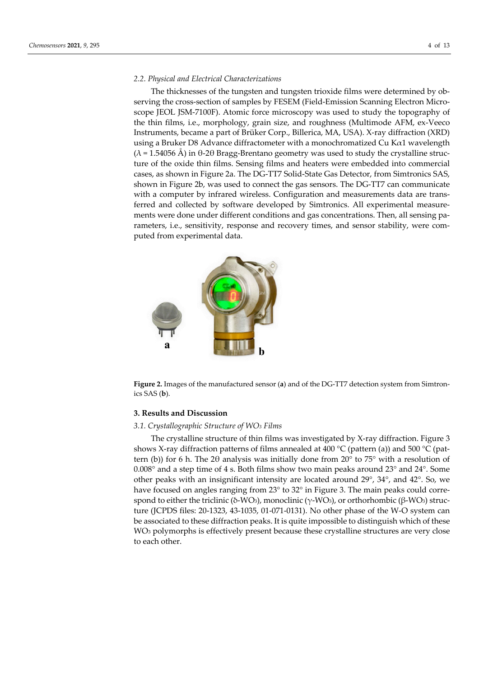### *2.2. Physical and Electrical Characterizations*

The thicknesses of the tungsten and tungsten trioxide films were determined by observing the cross-section of samples by FESEM (Field-Emission Scanning Electron Microscope JEOL JSM-7100F). Atomic force microscopy was used to study the topography of the thin films, i.e., morphology, grain size, and roughness (Multimode AFM, ex-Veeco Instruments, became a part of Brüker Corp., Billerica, MA, USA). X-ray diffraction (XRD) using a Bruker D8 Advance diffractometer with a monochromatized Cu Kα1 wavelength ( $\lambda$  = 1.54056 Å) in θ-2θ Bragg-Brentano geometry was used to study the crystalline structure of the oxide thin films. Sensing films and heaters were embedded into commercial cases, as shown in Figure 2a. The DG-TT7 Solid-State Gas Detector, from Simtronics SAS, shown in Figure 2b, was used to connect the gas sensors. The DG-TT7 can communicate with a computer by infrared wireless. Configuration and measurements data are transferred and collected by software developed by Simtronics. All experimental measurements were done under different conditions and gas concentrations. Then, all sensing parameters, i.e., sensitivity, response and recovery times, and sensor stability, were computed from experimental data.



**Figure 2.** Images of the manufactured sensor (**a**) and of the DG-TT7 detection system from Simtronics SAS (**b**).

## **3. Results and Discussion**

## *3.1. Crystallographic Structure of WO3 Films*

The crystalline structure of thin films was investigated by X-ray diffraction. Figure 3 shows X-ray diffraction patterns of films annealed at 400  $^{\circ}$ C (pattern (a)) and 500  $^{\circ}$ C (pattern (b)) for 6 h. The 2 $\theta$  analysis was initially done from 20 $\degree$  to 75 $\degree$  with a resolution of 0.008° and a step time of 4 s. Both films show two main peaks around 23° and 24°. Some other peaks with an insignificant intensity are located around 29°, 34°, and 42°. So, we have focused on angles ranging from 23° to 32° in Figure 3. The main peaks could correspond to either the triclinic (δ-WO<sub>3</sub>), monoclinic ( $\gamma$ -WO<sub>3</sub>), or orthorhombic (β-WO<sub>3</sub>) structure (JCPDS files: 20-1323, 43-1035, 01-071-0131). No other phase of the W-O system can be associated to these diffraction peaks. It is quite impossible to distinguish which of these WO3 polymorphs is effectively present because these crystalline structures are very close to each other.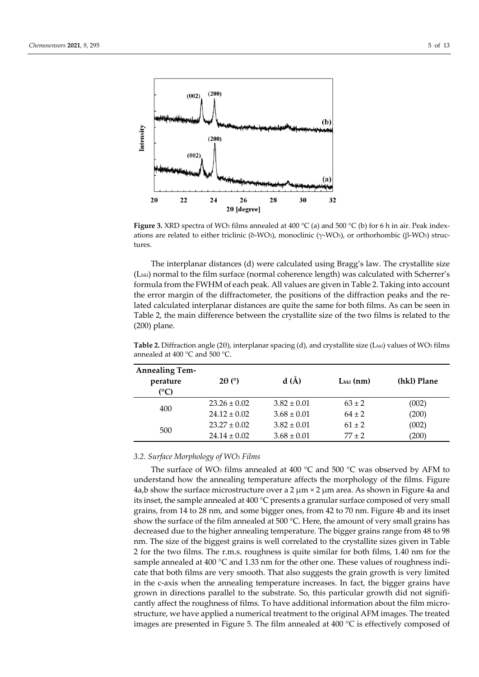

**Figure 3.** XRD spectra of WO<sub>3</sub> films annealed at 400 °C (a) and 500 °C (b) for 6 h in air. Peak indexations are related to either triclinic (δ-WO3), monoclinic (γ-WO3), or orthorhombic (β-WO3) structures.

The interplanar distances (d) were calculated using Bragg's law. The crystallite size (Lhkl) normal to the film surface (normal coherence length) was calculated with Scherrer's formula from the FWHM of each peak. All values are given in Table 2. Taking into account the error margin of the diffractometer, the positions of the diffraction peaks and the related calculated interplanar distances are quite the same for both films. As can be seen in Table 2, the main difference between the crystallite size of the two films is related to the (200) plane.

| <b>Annealing Tem-</b><br>perature<br>(°C) | $2\theta$ (°)    | d(A)            | $Lhkl$ (nm) | (hkl) Plane |
|-------------------------------------------|------------------|-----------------|-------------|-------------|
| 400                                       | $23.26 \pm 0.02$ | $3.82 \pm 0.01$ | $63 \pm 2$  | (002)       |
|                                           | $24.12 \pm 0.02$ | $3.68 \pm 0.01$ | $64 + 2$    | (200)       |
| 500                                       | $23.27 \pm 0.02$ | $3.82 \pm 0.01$ | $61 + 2$    | (002)       |
|                                           | $24.14 \pm 0.02$ | $3.68 \pm 0.01$ | $77 + 2$    | (200)       |

**Table 2.** Diffraction angle (2θ), interplanar spacing (d), and crystallite size (L<sub>hkl</sub>) values of WO<sub>3</sub> films annealed at 400 °C and 500 °C.

## *3.2. Surface Morphology of WO3 Films*

The surface of WO<sub>3</sub> films annealed at 400  $^{\circ}$ C and 500  $^{\circ}$ C was observed by AFM to understand how the annealing temperature affects the morphology of the films. Figure 4a,b show the surface microstructure over a  $2 \mu m \times 2 \mu m$  area. As shown in Figure 4a and its inset, the sample annealed at 400 °C presents a granular surface composed of very small grains, from 14 to 28 nm, and some bigger ones, from 42 to 70 nm. Figure 4b and its inset show the surface of the film annealed at 500  $^{\circ}$ C. Here, the amount of very small grains has decreased due to the higher annealing temperature. The bigger grains range from 48 to 98 nm. The size of the biggest grains is well correlated to the crystallite sizes given in Table 2 for the two films. The r.m.s. roughness is quite similar for both films, 1.40 nm for the sample annealed at 400 °C and 1.33 nm for the other one. These values of roughness indicate that both films are very smooth. That also suggests the grain growth is very limited in the c-axis when the annealing temperature increases. In fact, the bigger grains have grown in directions parallel to the substrate. So, this particular growth did not significantly affect the roughness of films. To have additional information about the film microstructure, we have applied a numerical treatment to the original AFM images. The treated images are presented in Figure 5. The film annealed at  $400\degree C$  is effectively composed of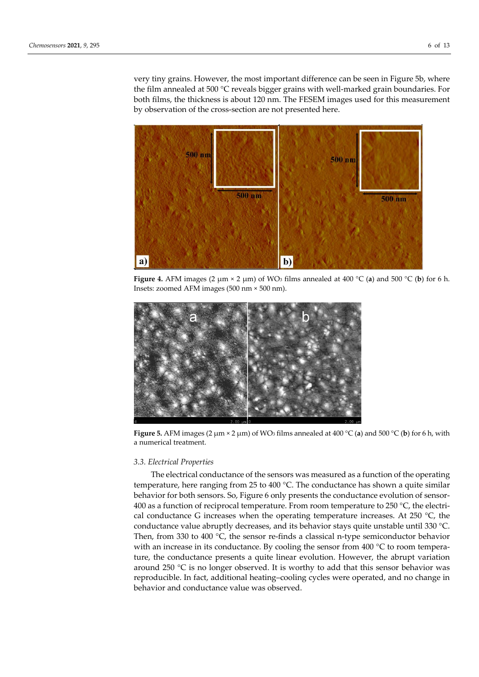very tiny grains. However, the most important difference can be seen in Figure 5b, where the film annealed at 500 °C reveals bigger grains with well-marked grain boundaries. For both films, the thickness is about 120 nm. The FESEM images used for this measurement by observation of the cross-section are not presented here.



**Figure 4.** AFM images (2  $\mu$ m × 2  $\mu$ m) of WO<sub>3</sub> films annealed at 400 °C (**a**) and 500 °C (**b**) for 6 h. Insets: zoomed AFM images (500 nm × 500 nm).



**Figure 5.** AFM images (2  $\mu$ m × 2  $\mu$ m) of WO<sub>3</sub> films annealed at 400 °C (**a**) and 500 °C (**b**) for 6 h, with a numerical treatment.

## *3.3. Electrical Properties*

The electrical conductance of the sensors was measured as a function of the operating temperature, here ranging from 25 to 400 °C. The conductance has shown a quite similar behavior for both sensors. So, Figure 6 only presents the conductance evolution of sensor-400 as a function of reciprocal temperature. From room temperature to 250 °C, the electrical conductance G increases when the operating temperature increases. At 250  $^{\circ}$ C, the conductance value abruptly decreases, and its behavior stays quite unstable until 330 °C. Then, from 330 to 400  $\degree$ C, the sensor re-finds a classical n-type semiconductor behavior with an increase in its conductance. By cooling the sensor from 400 °C to room temperature, the conductance presents a quite linear evolution. However, the abrupt variation around 250  $\degree$ C is no longer observed. It is worthy to add that this sensor behavior was reproducible. In fact, additional heating–cooling cycles were operated, and no change in behavior and conductance value was observed.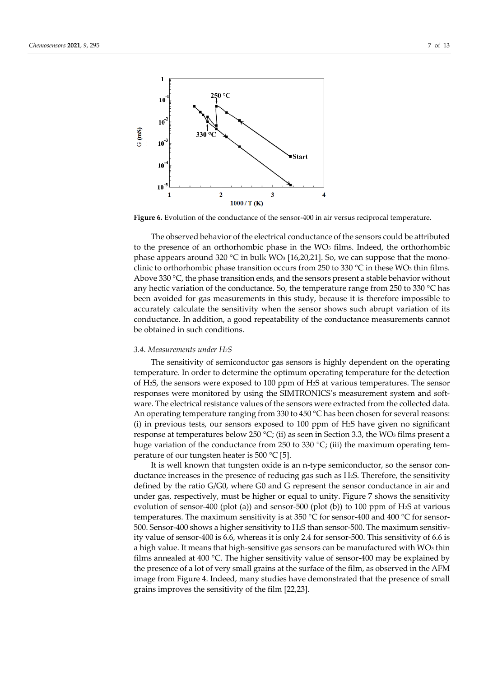

**Figure 6.** Evolution of the conductance of the sensor-400 in air versus reciprocal temperature.

The observed behavior of the electrical conductance of the sensors could be attributed to the presence of an orthorhombic phase in the WO<sub>3</sub> films. Indeed, the orthorhombic phase appears around 320 °C in bulk WO<sub>3</sub> [16,20,21]. So, we can suppose that the monoclinic to orthorhombic phase transition occurs from 250 to 330  $\degree$ C in these WO<sub>3</sub> thin films. Above 330 °C, the phase transition ends, and the sensors present a stable behavior without any hectic variation of the conductance. So, the temperature range from 250 to 330 °C has been avoided for gas measurements in this study, because it is therefore impossible to accurately calculate the sensitivity when the sensor shows such abrupt variation of its conductance. In addition, a good repeatability of the conductance measurements cannot be obtained in such conditions.

#### *3.4. Measurements under H2S*

The sensitivity of semiconductor gas sensors is highly dependent on the operating temperature. In order to determine the optimum operating temperature for the detection of H2S, the sensors were exposed to 100 ppm of H2S at various temperatures. The sensor responses were monitored by using the SIMTRONICS's measurement system and software. The electrical resistance values of the sensors were extracted from the collected data. An operating temperature ranging from 330 to 450  $^{\circ}$ C has been chosen for several reasons: (i) in previous tests, our sensors exposed to 100 ppm of H2S have given no significant response at temperatures below 250 °C; (ii) as seen in Section 3.3, the WO<sub>3</sub> films present a huge variation of the conductance from 250 to 330 °C; (iii) the maximum operating temperature of our tungsten heater is 500 °C [5].

It is well known that tungsten oxide is an n-type semiconductor, so the sensor conductance increases in the presence of reducing gas such as H2S. Therefore, the sensitivity defined by the ratio G/G0, where G0 and G represent the sensor conductance in air and under gas, respectively, must be higher or equal to unity. Figure 7 shows the sensitivity evolution of sensor-400 (plot (a)) and sensor-500 (plot (b)) to 100 ppm of H2S at various temperatures. The maximum sensitivity is at 350 °C for sensor-400 and 400 °C for sensor-500. Sensor-400 shows a higher sensitivity to H2S than sensor-500. The maximum sensitivity value of sensor-400 is 6.6, whereas it is only 2.4 for sensor-500. This sensitivity of 6.6 is a high value. It means that high-sensitive gas sensors can be manufactured with  $WO<sub>3</sub>$  thin films annealed at 400  $^{\circ}$ C. The higher sensitivity value of sensor-400 may be explained by the presence of a lot of very small grains at the surface of the film, as observed in the AFM image from Figure 4. Indeed, many studies have demonstrated that the presence of small grains improves the sensitivity of the film [22,23].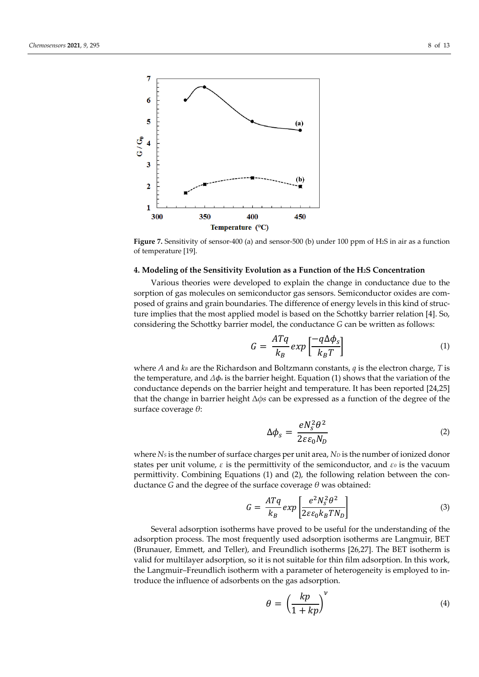

**Figure 7.** Sensitivity of sensor-400 (a) and sensor-500 (b) under 100 ppm of H2S in air as a function of temperature [19].

#### **4. Modeling of the Sensitivity Evolution as a Function of the H2S Concentration**

Various theories were developed to explain the change in conductance due to the sorption of gas molecules on semiconductor gas sensors. Semiconductor oxides are composed of grains and grain boundaries. The difference of energy levels in this kind of structure implies that the most applied model is based on the Schottky barrier relation [4]. So, considering the Schottky barrier model, the conductance *G* can be written as follows:

$$
G = \frac{ATq}{k_B} \exp\left[\frac{-q\Delta\phi_s}{k_B T}\right]
$$
 (1)

where *A* and *kB* are the Richardson and Boltzmann constants, *q* is the electron charge, *T* is the temperature, and *Δϕ<sup>s</sup>* is the barrier height. Equation (1) shows that the variation of the conductance depends on the barrier height and temperature. It has been reported [24,25] that the change in barrier height Δ*ϕs* can be expressed as a function of the degree of the surface coverage *θ*:

$$
\Delta \phi_s = \frac{e N_s^2 \theta^2}{2\varepsilon \varepsilon_0 N_D} \tag{2}
$$

where *Ns* is the number of surface charges per unit area, *N<sub>D</sub>* is the number of ionized donor states per unit volume, *ε* is the permittivity of the semiconductor, and *ε<sup>0</sup>* is the vacuum permittivity. Combining Equations (1) and (2), the following relation between the conductance *G* and the degree of the surface coverage *θ* was obtained:

$$
G = \frac{ATq}{k_B} \exp\left[\frac{e^2 N_s^2 \theta^2}{2\varepsilon\varepsilon_0 k_B T N_D}\right]
$$
(3)

Several adsorption isotherms have proved to be useful for the understanding of the adsorption process. The most frequently used adsorption isotherms are Langmuir, BET (Brunauer, Emmett, and Teller), and Freundlich isotherms [26,27]. The BET isotherm is valid for multilayer adsorption, so it is not suitable for thin film adsorption. In this work, the Langmuir–Freundlich isotherm with a parameter of heterogeneity is employed to introduce the influence of adsorbents on the gas adsorption.

$$
\theta = \left(\frac{kp}{1 + kp}\right)^{\nu} \tag{4}
$$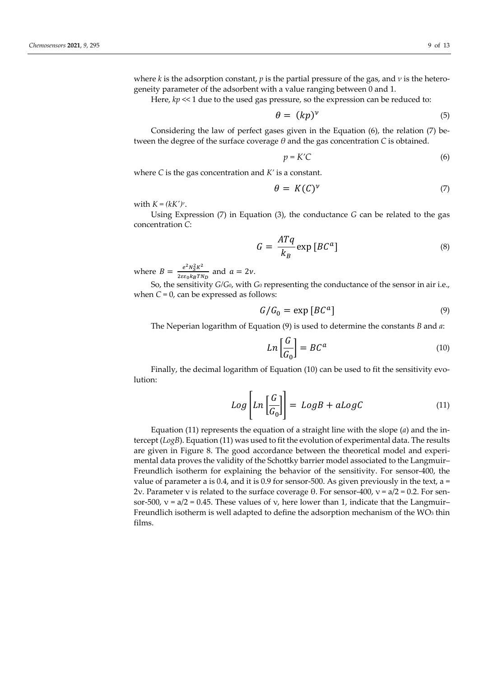where *k* is the adsorption constant, *p* is the partial pressure of the gas, and *ν* is the heterogeneity parameter of the adsorbent with a value ranging between 0 and 1.

Here,  $kp \ll 1$  due to the used gas pressure, so the expression can be reduced to:

$$
\theta = (kp)^{\nu} \tag{5}
$$

Considering the law of perfect gases given in the Equation (6), the relation (7) between the degree of the surface coverage *θ* and the gas concentration *C* is obtained.

$$
p = K'C \tag{6}
$$

where *C* is the gas concentration and *K'* is a constant.

$$
\theta = K(C)^{\nu} \tag{7}
$$

with  $K = (kK')^{\nu}$ .

Using Expression (7) in Equation (3), the conductance *G* can be related to the gas concentration *C*:

$$
G = \frac{ATq}{k_B} \exp [BC^a]
$$
 (8)

where  $B = \frac{e^2 N_S^2 K^2}{2 \varepsilon \varepsilon_0 k_B T \hbar}$  $\frac{e^{i} N_S n}{2 \varepsilon \varepsilon_0 k_B T N_D}$  and  $a = 2\nu$ .

So, the sensitivity *G/G*0, with *G*<sup>0</sup> representing the conductance of the sensor in air i.e., when  $C = 0$ , can be expressed as follows:

$$
G/G_0 = \exp [BC^a]
$$
 (9)

The Neperian logarithm of Equation (9) is used to determine the constants *B* and *a*:

$$
Ln\left[\frac{G}{G_0}\right] = BC^a \tag{10}
$$

Finally, the decimal logarithm of Equation (10) can be used to fit the sensitivity evolution:

$$
Log\left[Ln\left[\frac{G}{G_0}\right]\right] = LogB + aLogC \tag{11}
$$

Equation (11) represents the equation of a straight line with the slope (*a*) and the intercept (*LogB*). Equation (11) was used to fit the evolution of experimental data. The results are given in Figure 8. The good accordance between the theoretical model and experimental data proves the validity of the Schottky barrier model associated to the Langmuir– Freundlich isotherm for explaining the behavior of the sensitivity. For sensor-400, the value of parameter a is 0.4, and it is 0.9 for sensor-500. As given previously in the text,  $a =$ 2ν. Parameter v is related to the surface coverage θ. For sensor-400,  $v = a/2 = 0.2$ . For sensor-500,  $v = a/2 = 0.45$ . These values of  $v$ , here lower than 1, indicate that the Langmuir– Freundlich isotherm is well adapted to define the adsorption mechanism of the  $WO<sub>3</sub>$  thin films.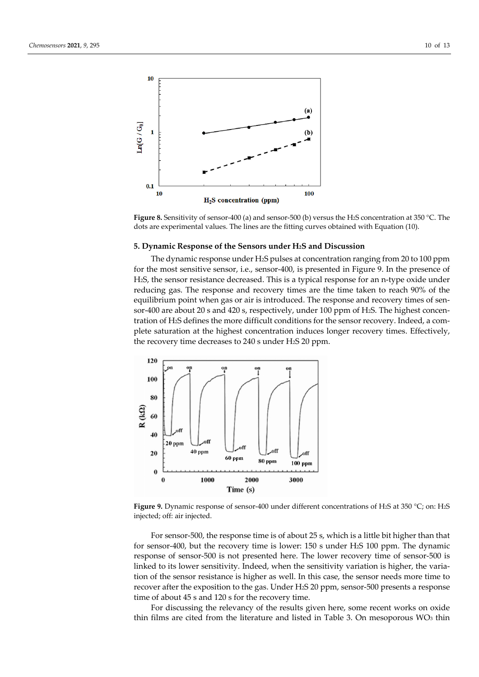

**Figure 8.** Sensitivity of sensor-400 (a) and sensor-500 (b) versus the H2S concentration at 350 °C. The dots are experimental values. The lines are the fitting curves obtained with Equation (10).

## **5. Dynamic Response of the Sensors under H2S and Discussion**

The dynamic response under H2S pulses at concentration ranging from 20 to 100 ppm for the most sensitive sensor, i.e., sensor-400, is presented in Figure 9. In the presence of H2S, the sensor resistance decreased. This is a typical response for an n-type oxide under reducing gas. The response and recovery times are the time taken to reach 90% of the equilibrium point when gas or air is introduced. The response and recovery times of sensor-400 are about 20 s and 420 s, respectively, under 100 ppm of H2S. The highest concentration of H2S defines the more difficult conditions for the sensor recovery. Indeed, a complete saturation at the highest concentration induces longer recovery times. Effectively, the recovery time decreases to 240 s under H2S 20 ppm.



**Figure 9.** Dynamic response of sensor-400 under different concentrations of H2S at 350 °C; on: H2S injected; off: air injected.

For sensor-500, the response time is of about 25 s, which is a little bit higher than that for sensor-400, but the recovery time is lower: 150 s under H2S 100 ppm. The dynamic response of sensor-500 is not presented here. The lower recovery time of sensor-500 is linked to its lower sensitivity. Indeed, when the sensitivity variation is higher, the variation of the sensor resistance is higher as well. In this case, the sensor needs more time to recover after the exposition to the gas. Under H2S 20 ppm, sensor-500 presents a response time of about 45 s and 120 s for the recovery time.

For discussing the relevancy of the results given here, some recent works on oxide thin films are cited from the literature and listed in Table 3. On mesoporous  $WO<sub>3</sub>$  thin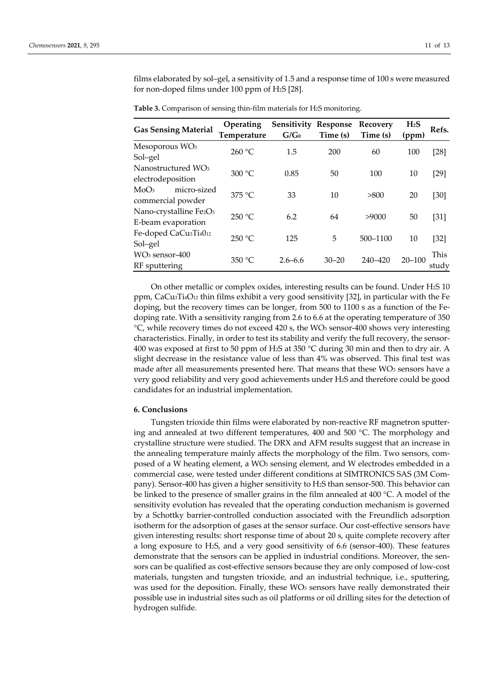films elaborated by sol–gel, a sensitivity of 1.5 and a response time of 100 s were measured for non-doped films under 100 ppm of H2S [28].

| <b>Gas Sensing Material</b>                   | Operating   | <b>Sensitivity Response</b> |           | Recovery | H <sub>2</sub> S | Refs.  |
|-----------------------------------------------|-------------|-----------------------------|-----------|----------|------------------|--------|
|                                               | Temperature | $G/G_0$                     | Time (s)  | Time (s) | (ppm)            |        |
| Mesoporous WO <sub>3</sub>                    | 260 °C      | 1.5                         | 200       | 60       | 100              | $[28]$ |
| Sol-gel                                       |             |                             |           |          |                  |        |
| Nanostructured WO <sub>3</sub>                | 300 °C      | 0.85                        | 50        | 100      | 10               | $[29]$ |
| electrodeposition                             |             |                             |           |          |                  |        |
| MoO <sub>3</sub><br>micro-sized               | 375 °C      | 33                          | 10        | >800     | 20               | $[30]$ |
| commercial powder                             |             |                             |           |          |                  |        |
| Nano-crystalline Fe2O3                        | 250 °C      | 6.2                         | 64        | >9000    | 50               | $[31]$ |
| E-beam evaporation                            |             |                             |           |          |                  |        |
| Fe-doped CaCu <sub>3</sub> Ti <sub>4012</sub> | 250 °C      | 5<br>125                    |           | 500-1100 | 10               | $[32]$ |
| Sol-gel                                       |             |                             |           |          |                  |        |
| $WO3$ sensor-400                              |             | $2.6 - 6.6$                 | $30 - 20$ | 240-420  | $20 - 100$       | This   |
| RF sputtering                                 | 350 °C      |                             |           |          |                  | study  |

**Table 3.** Comparison of sensing thin-film materials for H2S monitoring.

On other metallic or complex oxides, interesting results can be found. Under H2S 10 ppm, CaCu3Ti4O12 thin films exhibit a very good sensitivity [32], in particular with the Fe doping, but the recovery times can be longer, from 500 to 1100 s as a function of the Fedoping rate. With a sensitivity ranging from 2.6 to 6.6 at the operating temperature of 350 °C, while recovery times do not exceed 420 s, the WO3 sensor-400 shows very interesting characteristics. Finally, in order to test its stability and verify the full recovery, the sensor-400 was exposed at first to 50 ppm of H<sub>2</sub>S at 350 °C during 30 min and then to dry air. A slight decrease in the resistance value of less than 4% was observed. This final test was made after all measurements presented here. That means that these WO<sub>3</sub> sensors have a very good reliability and very good achievements under H2S and therefore could be good candidates for an industrial implementation.

#### **6. Conclusions**

Tungsten trioxide thin films were elaborated by non-reactive RF magnetron sputtering and annealed at two different temperatures, 400 and 500 °C. The morphology and crystalline structure were studied. The DRX and AFM results suggest that an increase in the annealing temperature mainly affects the morphology of the film. Two sensors, composed of a W heating element, a WO<sub>3</sub> sensing element, and W electrodes embedded in a commercial case, were tested under different conditions at SIMTRONICS SAS (3M Company). Sensor-400 has given a higher sensitivity to H2S than sensor-500. This behavior can be linked to the presence of smaller grains in the film annealed at 400 °C. A model of the sensitivity evolution has revealed that the operating conduction mechanism is governed by a Schottky barrier-controlled conduction associated with the Freundlich adsorption isotherm for the adsorption of gases at the sensor surface. Our cost-effective sensors have given interesting results: short response time of about 20 s, quite complete recovery after a long exposure to H2S, and a very good sensitivity of 6.6 (sensor-400). These features demonstrate that the sensors can be applied in industrial conditions. Moreover, the sensors can be qualified as cost-effective sensors because they are only composed of low-cost materials, tungsten and tungsten trioxide, and an industrial technique, i.e., sputtering, was used for the deposition. Finally, these  $WO<sub>3</sub>$  sensors have really demonstrated their possible use in industrial sites such as oil platforms or oil drilling sites for the detection of hydrogen sulfide.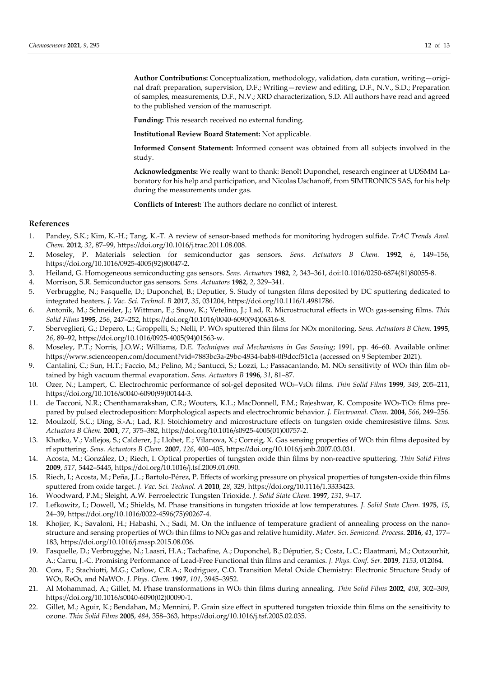**Author Contributions:** Conceptualization, methodology, validation, data curation, writing—original draft preparation, supervision, D.F.; Writing—review and editing, D.F., N.V., S.D.; Preparation of samples, measurements, D.F., N.V.; XRD characterization, S.D. All authors have read and agreed to the published version of the manuscript.

**Funding:** This research received no external funding.

**Institutional Review Board Statement:** Not applicable.

**Informed Consent Statement:** Informed consent was obtained from all subjects involved in the study.

**Acknowledgments:** We really want to thank: Benoît Duponchel, research engineer at UDSMM Laboratory for his help and participation, and Nicolas Uschanoff, from SIMTRONICS SAS, for his help during the measurements under gas.

**Conflicts of Interest:** The authors declare no conflict of interest.

# **References**

- 1. Pandey, S.K.; Kim, K.-H.; Tang, K.-T. A review of sensor-based methods for monitoring hydrogen sulfide. *TrAC Trends Anal. Chem.* **2012**, *32*, 87–99, https://doi.org/10.1016/j.trac.2011.08.008.
- 2. Moseley, P. Materials selection for semiconductor gas sensors. *Sens. Actuators B Chem.* **1992**, *6*, 149–156, https://doi.org/10.1016/0925-4005(92)80047-2.
- 3. Heiland, G. Homogeneous semiconducting gas sensors. *Sens. Actuators* **1982**, *2*, 343–361, doi:10.1016/0250-6874(81)80055-8.
- 4. Morrison, S.R. Semiconductor gas sensors. *Sens. Actuators* **1982**, *2*, 329–341.
- 5. Verbrugghe, N.; Fasquelle, D.; Duponchel, B.; Deputier, S. Study of tungsten films deposited by DC sputtering dedicated to integrated heaters. *J. Vac. Sci. Technol. B* **2017**, *35*, 031204, https://doi.org/10.1116/1.4981786.
- 6. Antonik, M.; Schneider, J.; Wittman, E.; Snow, K.; Vetelino, J.; Lad, R. Microstructural effects in WO3 gas-sensing films. *Thin Solid Films* **1995**, *256*, 247–252, https://doi.org/10.1016/0040-6090(94)06316-8.
- 7. Sberveglieri, G.; Depero, L.; Groppelli, S.; Nelli, P. WO3 sputtered thin films for NOx monitoring. *Sens. Actuators B Chem.* **1995**, *26*, 89–92, https://doi.org/10.1016/0925-4005(94)01563-w.
- 8. Moseley, P.T.; Norris, J.O.W.; Williams, D.E. *Techniques and Mechanisms in Gas Sensing*; 1991, pp. 46–60. Available online: https://www.scienceopen.com/document?vid=7883bc3a-29bc-4934-bab8-0f9dccf51c1a (accessed on 9 September 2021).
- 9. Cantalini, C.; Sun, H.T.; Faccio, M.; Pelino, M.; Santucci, S.; Lozzi, L.; Passacantando, M. NO2 sensitivity of WO3 thin film obtained by high vacuum thermal evaporation. *Sens. Actuators B* **1996**, *31*, 81–87.
- 10. Ozer, N.; Lampert, C. Electrochromic performance of sol-gel deposited WO3–V2O5 films. *Thin Solid Films* **1999**, *349*, 205–211, https://doi.org/10.1016/s0040-6090(99)00144-3.
- 11. de Tacconi, N.R.; Chenthamarakshan, C.R.; Wouters, K.L.; MacDonnell, F.M.; Rajeshwar, K. Composite WO3-TiO2 films prepared by pulsed electrodeposition: Morphological aspects and electrochromic behavior. *J. Electroanal. Chem.* **2004**, *566*, 249–256.
- 12. Moulzolf, S.C.; Ding, S.-A.; Lad, R.J. Stoichiometry and microstructure effects on tungsten oxide chemiresistive films. *Sens. Actuators B Chem.* **2001**, *77*, 375–382, https://doi.org/10.1016/s0925-4005(01)00757-2.
- 13. Khatko, V.; Vallejos, S.; Calderer, J.; Llobet, E.; Vilanova, X.; Correig, X. Gas sensing properties of WO3 thin films deposited by rf sputtering. *Sens. Actuators B Chem.* **2007**, *126*, 400–405, https://doi.org/10.1016/j.snb.2007.03.031.
- 14. Acosta, M.; González, D.; Riech, I. Optical properties of tungsten oxide thin films by non-reactive sputtering. *Thin Solid Films* **2009**, *517*, 5442–5445, https://doi.org/10.1016/j.tsf.2009.01.090.
- 15. Riech, I.; Acosta, M.; Peña, J.L.; Bartolo-Pérez, P. Effects of working pressure on physical properties of tungsten-oxide thin films sputtered from oxide target. *J. Vac. Sci. Technol. A* **2010**, *28*, 329, https://doi.org/10.1116/1.3333423.
- 16. Woodward, P.M.; Sleight, A.W. Ferroelectric Tungsten Trioxide. *J. Solid State Chem.* **1997**, *131*, 9–17.
- 17. Lefkowitz, I.; Dowell, M.; Shields, M. Phase transitions in tungsten trioxide at low temperatures. *J. Solid State Chem.* **1975**, *15*, 24–39, https://doi.org/10.1016/0022-4596(75)90267-4.
- 18. Khojier, K.; Savaloni, H.; Habashi, N.; Sadi, M. On the influence of temperature gradient of annealing process on the nanostructure and sensing properties of WO3 thin films to NO2 gas and relative humidity. *Mater. Sci. Semicond. Process.* **2016**, *41*, 177– 183, https://doi.org/10.1016/j.mssp.2015.08.036.
- 19. Fasquelle, D.; Verbrugghe, N.; Laasri, H.A.; Tachafine, A.; Duponchel, B.; Députier, S.; Costa, L.C.; Elaatmani, M.; Outzourhit, A.; Carru, J.-C. Promising Performance of Lead-Free Functional thin films and ceramics. *J. Phys. Conf. Ser.* **2019**, *1153*, 012064.
- 20. Cora, F.; Stachiotti, M.G.; Catlow, C.R.A.; Rodriguez, C.O. Transition Metal Oxide Chemistry: Electronic Structure Study of WO3, ReO3, and NaWO3. *J. Phys. Chem.* **1997**, *101*, 3945–3952.
- 21. Al Mohammad, A.; Gillet, M. Phase transformations in WO3 thin films during annealing. *Thin Solid Films* **2002**, *408*, 302–309, https://doi.org/10.1016/s0040-6090(02)00090-1.
- 22. Gillet, M.; Aguir, K.; Bendahan, M.; Mennini, P. Grain size effect in sputtered tungsten trioxide thin films on the sensitivity to ozone. *Thin Solid Films* **2005**, *484*, 358–363, https://doi.org/10.1016/j.tsf.2005.02.035.